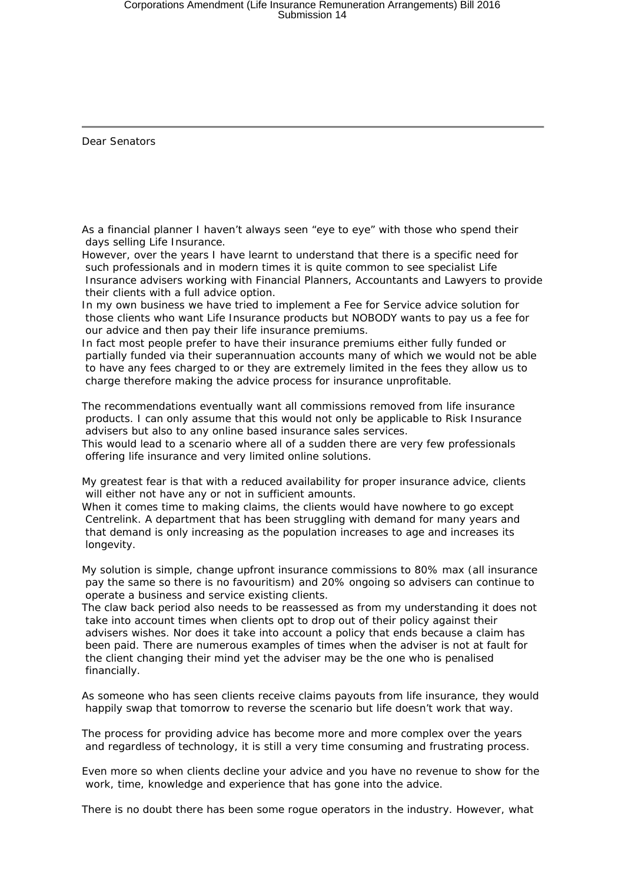Dear Senators

As a financial planner I haven't always seen "eye to eye" with those who spend their days selling Life Insurance.

However, over the years I have learnt to understand that there is a specific need for such professionals and in modern times it is quite common to see specialist Life Insurance advisers working with Financial Planners, Accountants and Lawyers to provide their clients with a full advice option.

In my own business we have tried to implement a Fee for Service advice solution for those clients who want Life Insurance products but NOBODY wants to pay us a fee for our advice and then pay their life insurance premiums.

In fact most people prefer to have their insurance premiums either fully funded or partially funded via their superannuation accounts many of which we would not be able to have any fees charged to or they are extremely limited in the fees they allow us to charge therefore making the advice process for insurance unprofitable.

The recommendations eventually want all commissions removed from life insurance products. I can only assume that this would not only be applicable to Risk Insurance advisers but also to any online based insurance sales services.

This would lead to a scenario where all of a sudden there are very few professionals offering life insurance and very limited online solutions.

My greatest fear is that with a reduced availability for proper insurance advice, clients will either not have any or not in sufficient amounts.

When it comes time to making claims, the clients would have nowhere to go except Centrelink. A department that has been struggling with demand for many years and that demand is only increasing as the population increases to age and increases its longevity.

My solution is simple, change upfront insurance commissions to 80% max (all insurance pay the same so there is no favouritism) and 20% ongoing so advisers can continue to operate a business and service existing clients.

The claw back period also needs to be reassessed as from my understanding it does not take into account times when clients opt to drop out of their policy against their advisers wishes. Nor does it take into account a policy that ends because a claim has been paid. There are numerous examples of times when the adviser is not at fault for the client changing their mind yet the adviser may be the one who is penalised financially.

As someone who has seen clients receive claims payouts from life insurance, they would happily swap that tomorrow to reverse the scenario but life doesn't work that way.

The process for providing advice has become more and more complex over the years and regardless of technology, it is still a very time consuming and frustrating process.

Even more so when clients decline your advice and you have no revenue to show for the work, time, knowledge and experience that has gone into the advice.

There is no doubt there has been some rogue operators in the industry. However, what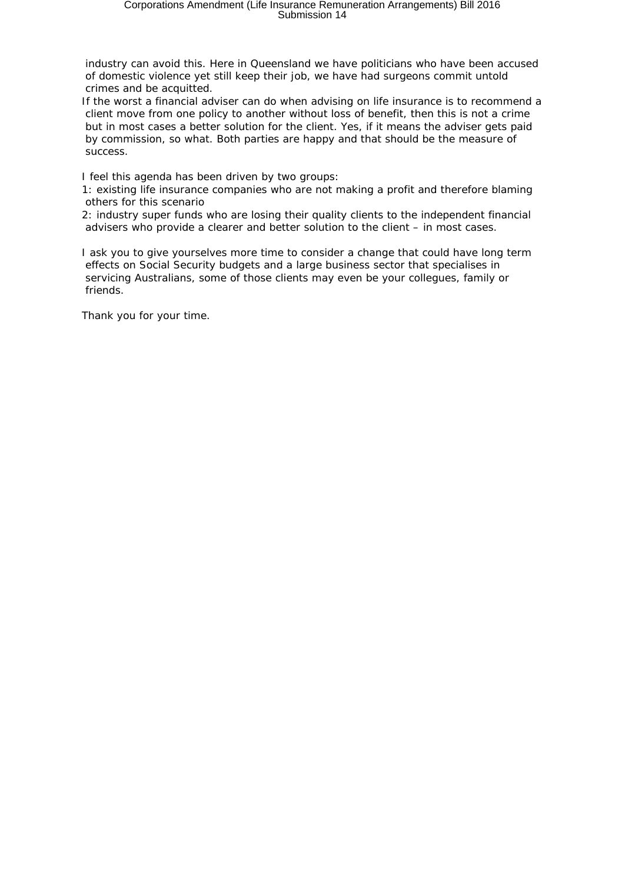industry can avoid this. Here in Queensland we have politicians who have been accused of domestic violence yet still keep their job, we have had surgeons commit untold crimes and be acquitted.

If the worst a financial adviser can do when advising on life insurance is to recommend a client move from one policy to another without loss of benefit, then this is not a crime but in most cases a better solution for the client. Yes, if it means the adviser gets paid by commission, so what. Both parties are happy and that should be the measure of success.

I feel this agenda has been driven by two groups:

1: existing life insurance companies who are not making a profit and therefore blaming others for this scenario

2: industry super funds who are losing their quality clients to the independent financial advisers who provide a clearer and better solution to the client – in most cases.

I ask you to give yourselves more time to consider a change that could have long term effects on Social Security budgets and a large business sector that specialises in servicing Australians, some of those clients may even be your collegues, family or friends.

Thank you for your time.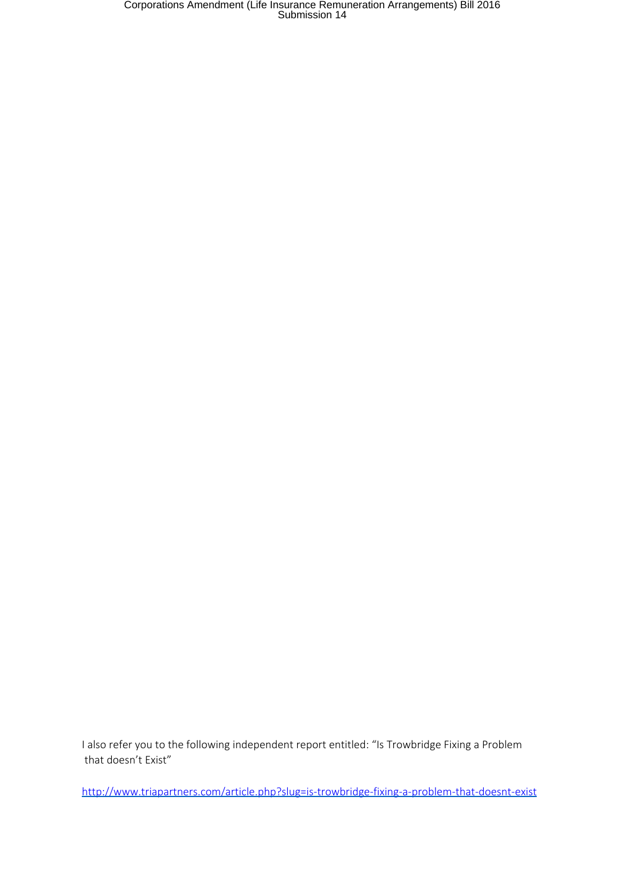Corporations Amendment (Life Insurance Remuneration Arrangements) Bill 2016 Submission 14

I also refer you to the following independent report entitled: "Is Trowbridge Fixing a Problem that doesn't Exist"

<http://www.triapartners.com/article.php?slug=is-trowbridge-fixing-a-problem-that-doesnt-exist>